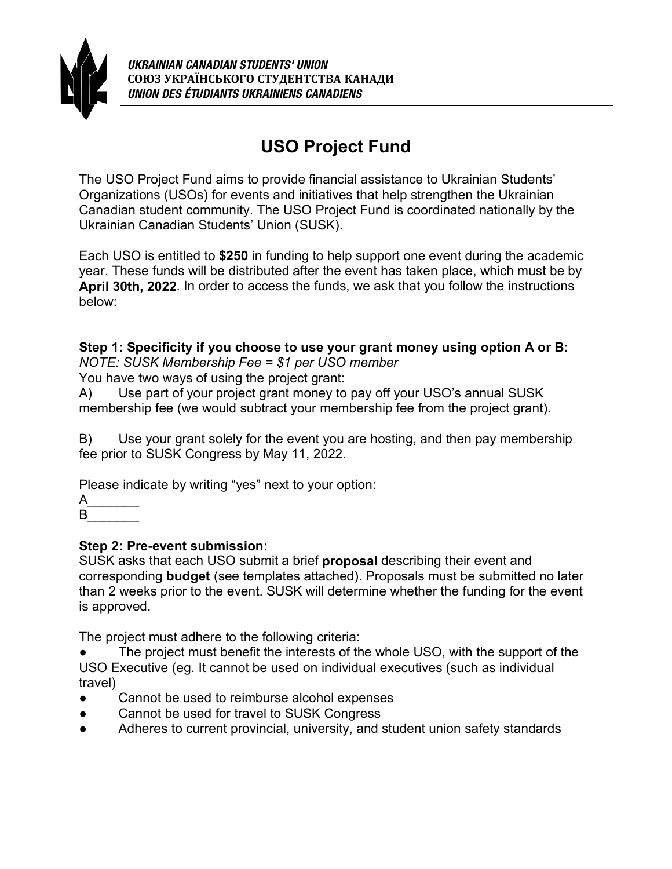

# **USO Project Fund**

The USO Project Fund aims to provide financial assistance to Ukrainian Students' Organizations (USOs) for events and initiatives that help strengthen the Ukrainian Canadian student community. The USO Project Fund is coordinated nationally by the Ukrainian Canadian Students' Union (SUSK).

Each USO is entitled to **\$250** in funding to help support one event during the academic year. These funds will be distributed after the event has taken place, which must be by **April 30th, 2022**. In order to access the funds, we ask that you follow the instructions below:

**Step 1: Specificity if you choose to use your grant money using option A or B:** *NOTE: SUSK Membership Fee = \$1 per USO member*

You have two ways of using the project grant:

A) Use part of your project grant money to pay off your USO's annual SUSK membership fee (we would subtract your membership fee from the project grant).

B) Use your grant solely for the event you are hosting, and then pay membership fee prior to SUSK Congress by May 11, 2022.

Please indicate by writing "yes" next to your option:

 $\mathsf{A}$  $\mathsf{B}$ 

#### **Step 2: Pre-event submission:**

SUSK asks that each USO submit a brief **proposal** describing their event and corresponding **budget** (see templates attached). Proposals must be submitted no later than 2 weeks prior to the event. SUSK will determine whether the funding for the event is approved.

The project must adhere to the following criteria:

The project must benefit the interests of the whole USO, with the support of the USO Executive (eg. It cannot be used on individual executives (such as individual travel)

- Cannot be used to reimburse alcohol expenses
- Cannot be used for travel to SUSK Congress
- Adheres to current provincial, university, and student union safety standards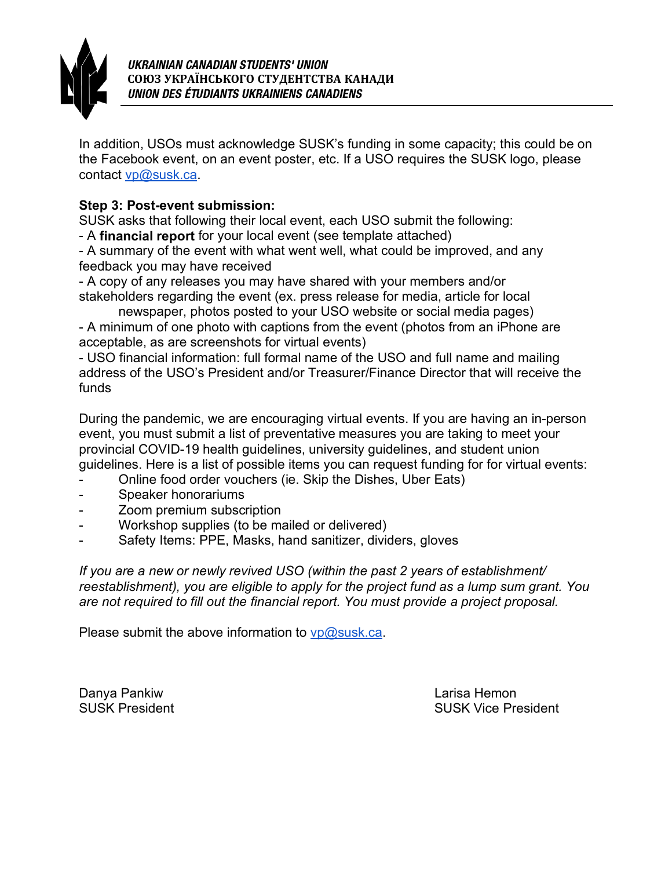

In addition, USOs must acknowledge SUSK's funding in some capacity; this could be on the Facebook event, on an event poster, etc. If a USO requires the SUSK logo, please contact [vp@susk.ca.](mailto:vp@susk.ca)

#### **Step 3: Post-event submission:**

SUSK asks that following their local event, each USO submit the following:

- A **financial report** for your local event (see template attached)

- A summary of the event with what went well, what could be improved, and any feedback you may have received

- A copy of any releases you may have shared with your members and/or stakeholders regarding the event (ex. press release for media, article for local

newspaper, photos posted to your USO website or social media pages) - A minimum of one photo with captions from the event (photos from an iPhone are acceptable, as are screenshots for virtual events)

- USO financial information: full formal name of the USO and full name and mailing address of the USO's President and/or Treasurer/Finance Director that will receive the funds

During the pandemic, we are encouraging virtual events. If you are having an in-person event, you must submit a list of preventative measures you are taking to meet your provincial COVID-19 health guidelines, university guidelines, and student union guidelines. Here is a list of possible items you can request funding for for virtual events:

- Online food order vouchers (ie. Skip the Dishes, Uber Eats)
- Speaker honorariums
- Zoom premium subscription
- Workshop supplies (to be mailed or delivered)
- Safety Items: PPE, Masks, hand sanitizer, dividers, gloves

*If you are a new or newly revived USO (within the past 2 years of establishment/ reestablishment), you are eligible to apply for the project fund as a lump sum grant. You are not required to fill out the financial report. You must provide a project proposal.*

Please submit the above information to  $vp@susk.ca$ .

Danya Pankiw Larisa Hemon

SUSK President **SUSK SUSK President** SUSK Vice President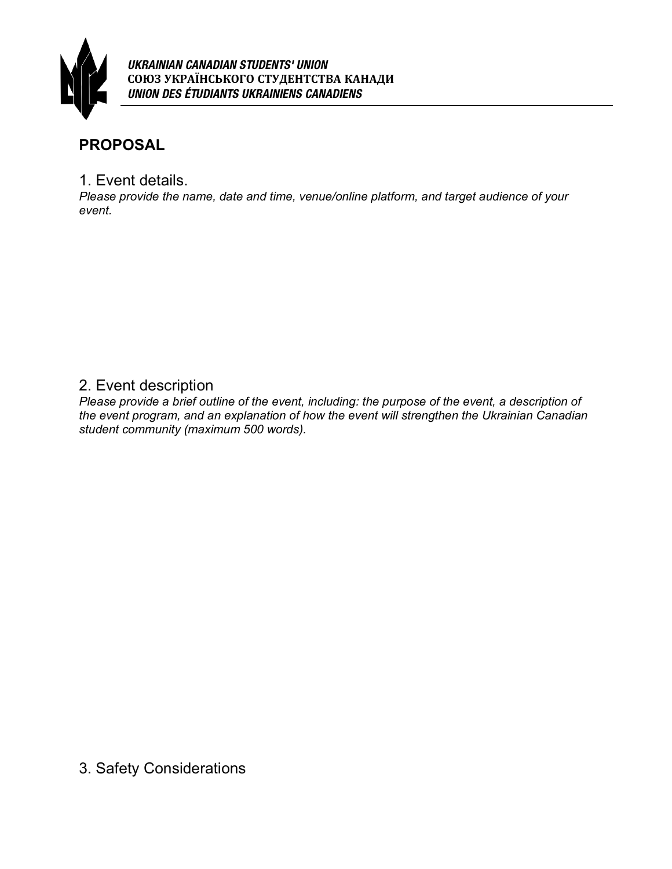

### **PROPOSAL**

1. Event details.

*Please provide the name, date and time, venue/online platform, and target audience of your event.* 

### 2. Event description

*Please provide a brief outline of the event, including: the purpose of the event, a description of the event program, and an explanation of how the event will strengthen the Ukrainian Canadian student community (maximum 500 words).*

3. Safety Considerations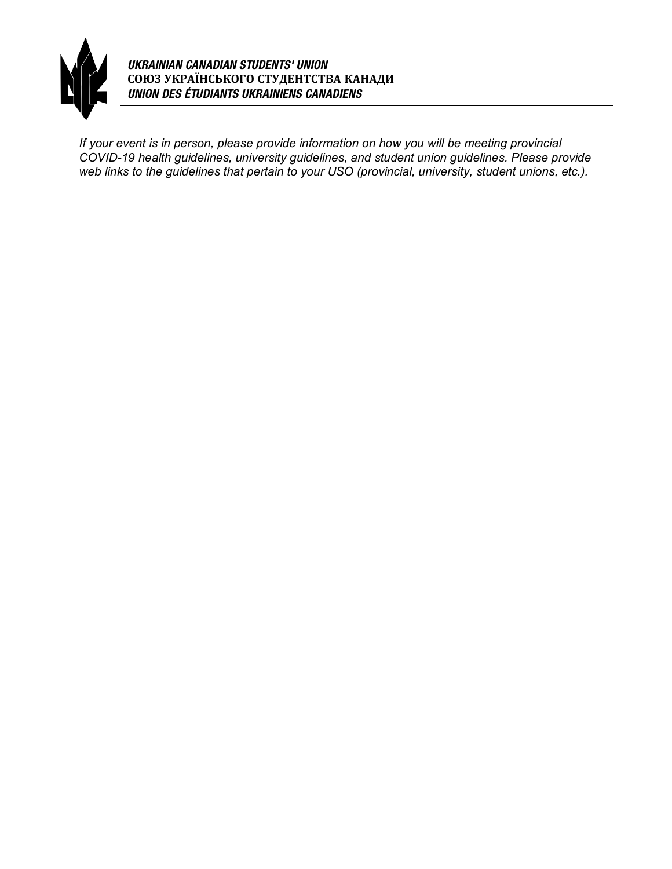

*UKRAINIAN CANADIAN STUDENTS' UNION* **СОЮЗ УКРАЇНСЬКОГО СТУДЕНТСТВА КАНАДИ** *UNION DES ÉTUDIANTS UKRAINIENS CANADIENS*

*If your event is in person, please provide information on how you will be meeting provincial COVID-19 health guidelines, university guidelines, and student union guidelines. Please provide web links to the guidelines that pertain to your USO (provincial, university, student unions, etc.).*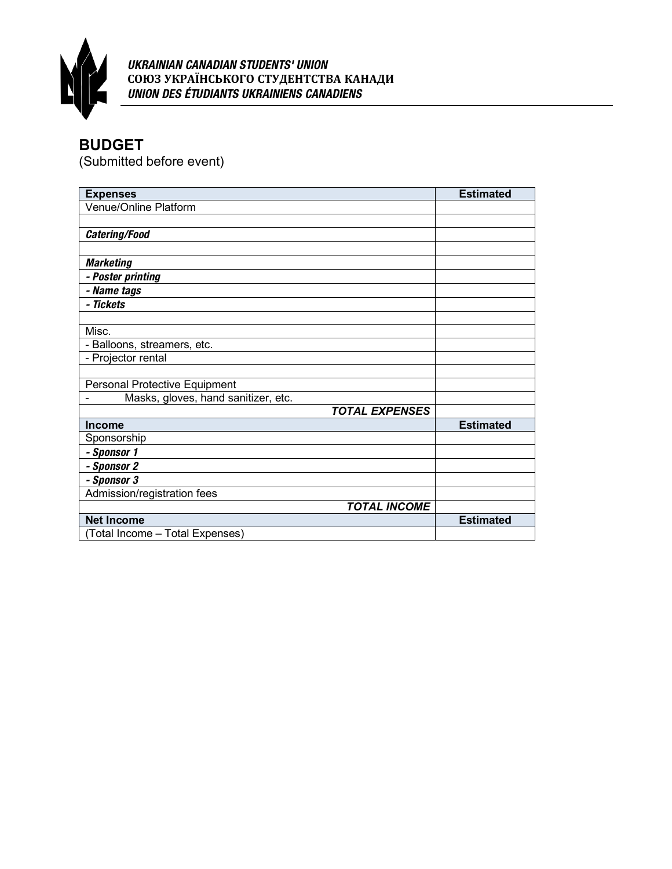

#### *UKRAINIAN CANADIAN STUDENTS' UNION* **СОЮЗ УКРАЇНСЬКОГО СТУДЕНТСТВА КАНАДИ** *UNION DES ÉTUDIANTS UKRAINIENS CANADIENS*

## **BUDGET**

(Submitted before event)

| <b>Expenses</b>                     | <b>Estimated</b> |
|-------------------------------------|------------------|
| Venue/Online Platform               |                  |
|                                     |                  |
| Catering/Food                       |                  |
|                                     |                  |
| <b>Marketing</b>                    |                  |
| - Poster printing                   |                  |
| - Name tags                         |                  |
| - Tickets                           |                  |
|                                     |                  |
| Misc.                               |                  |
| - Balloons, streamers, etc.         |                  |
| - Projector rental                  |                  |
|                                     |                  |
| Personal Protective Equipment       |                  |
| Masks, gloves, hand sanitizer, etc. |                  |
| <b>TOTAL EXPENSES</b>               |                  |
| Income                              | <b>Estimated</b> |
| Sponsorship                         |                  |
| - Sponsor 1                         |                  |
| - Sponsor 2                         |                  |
| - Sponsor 3                         |                  |
| Admission/registration fees         |                  |
| <b>TOTAL INCOME</b>                 |                  |
| <b>Net Income</b>                   | <b>Estimated</b> |
| (Total Income - Total Expenses)     |                  |